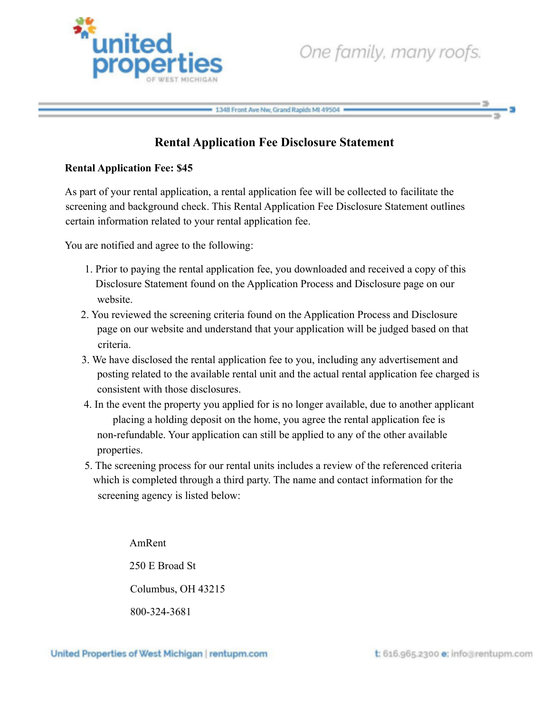

## 1348 Front Ave Nw, Grand Rapids MI 49504

## **Rental Application Fee Disclosure Statement**

## **Rental Application Fee: \$45**

As part of your rental application, a rental application fee will be collected to facilitate the screening and background check. This Rental Application Fee Disclosure Statement outlines certain information related to your rental application fee.

You are notified and agree to the following:

- 1. Prior to paying the rental application fee, you downloaded and received a copy of this Disclosure Statement found on the Application Process and Disclosure page on our website.
- 2. You reviewed the screening criteria found on the Application Process and Disclosure page on our website and understand that your application will be judged based on that criteria.
- 3. We have disclosed the rental application fee to you, including any advertisement and posting related to the available rental unit and the actual rental application fee charged is consistent with those disclosures.
- 4. In the event the property you applied for is no longer available, due to another applicant placing a holding deposit on the home, you agree the rental application fee is non-refundable. Your application can still be applied to any of the other available properties.
- 5. The screening process for our rental units includes a review of the referenced criteria which is completed through a third party. The name and contact information for the screening agency is listed below:

AmRent 250 E Broad St Columbus, OH 43215 800-324-3681